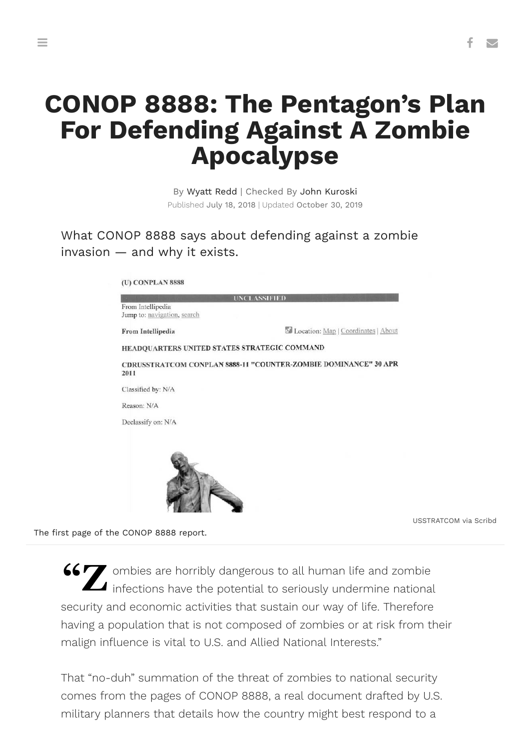## **CONOP 8888: The Pentagon's Plan For Defending Against A Zombie Apocalypse**

By Wyatt Redd | Checked By John Kuroski Published July 18, 2018 | Updated October 30, 2019

What CONOP 8888 says about defending against a zombie invasion — and why it exists.

| <b>UNCLASSIFIED</b>                              |                                                                 |
|--------------------------------------------------|-----------------------------------------------------------------|
| From Intellipedia<br>Jump to: navigation, search |                                                                 |
| From Intellipedia                                | Location: Map   Coordinates   About                             |
| HEADQUARTERS UNITED STATES STRATEGIC COMMAND     |                                                                 |
| 2011                                             | CDRUSSTRATCOM CONPLAN 8888-11 "COUNTER-ZOMBIE DOMINANCE" 30 APR |
| Classified by: N/A                               |                                                                 |
| Reason: N/A                                      |                                                                 |
| Declassify on: N/A                               |                                                                 |
|                                                  |                                                                 |
|                                                  |                                                                 |
|                                                  |                                                                 |

USSTRATCOM via Scribd

The first page of the CONOP 8888 report.

**66 Z** ombies are horribly dangerous to all human life and zombie<br>infections have the potential to seriously undermine national infections have the potential to seriously undermine national security and economic activities that sustain our way of life. Therefore having a population that is not composed of zombies or at risk from their malign influence is vital to U.S. and Allied National Interests."

That "no-duh" summation of the threat of zombies to national security comes from the pages of CONOP 8888, a real document drafted by U.S. military planners that details how the country might best respond to a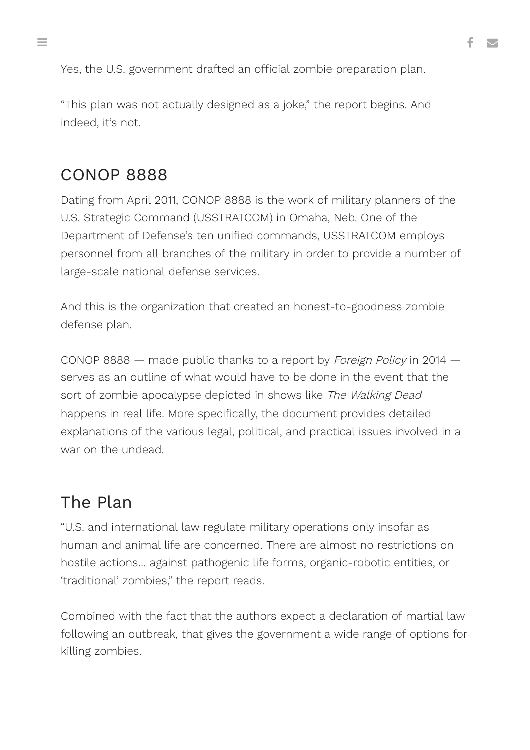Yes, the U.S. government drafted an official zombie preparation plan.

"This plan was not actually designed as a joke," the report begins. And indeed, it's not.

## CONOP 8888

Dating from April 2011, CONOP 8888 is the work of military planners of the U.S. Strategic Command (USSTRATCOM) in Omaha, Neb. One of the Department of Defense's ten unified commands, USSTRATCOM employs personnel from all branches of the military in order to provide a number of large-scale national defense services.

And this is the organization that created an honest-to-goodness zombie defense plan.

CONOP 8888 — made public thanks to a report by [Foreign Policy](https://foreignpolicy.com/2014/05/13/exclusive-the-pentagon-has-a-plan-to-stop-the-zombie-apocalypse-seriously/) in 2014 serves as an outline of what would have to be done in the event that the sort of zombie apocalypse depicted in shows like The Walking Dead happens in real life. More specifically, the [document](https://www.scribd.com/doc/223872345/CONPLAN-8888) provides detailed explanations of the various legal, political, and practical issues involved in a war on the undead.

## The Plan

"U.S. and international law regulate military operations only insofar as human and animal life are concerned. There are almost no restrictions on hostile actions… against pathogenic life forms, organic-robotic entities, or 'traditional' zombies," the report reads.

Combined with the fact that the authors expect a declaration of martial law following an outbreak, that gives the government a wide range of options for killing zombies.

 $\equiv$  . The contract of the contract of the contract of the contract of the contract of the contract of the contract of the contract of the contract of the contract of the contract of the contract of the contract of the co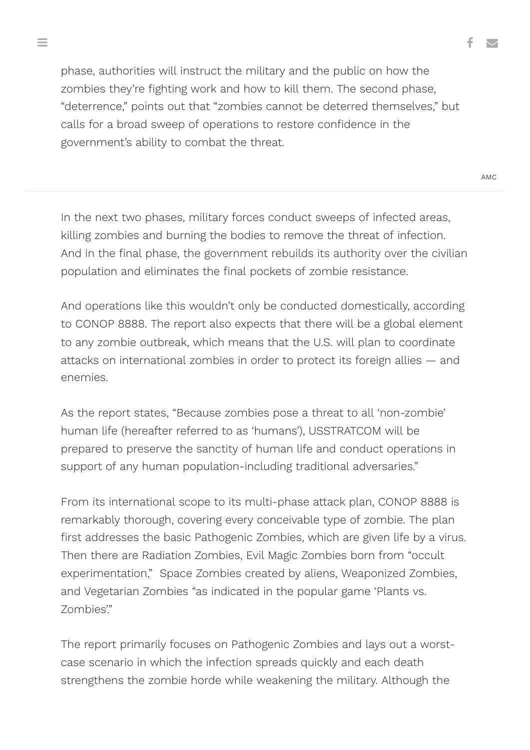phase, authorities will instruct the military and the public on how the zombies they're fighting work and how to kill them. The second phase, "deterrence," points out that "zombies cannot be deterred themselves," but calls for a broad sweep of operations to restore confidence in the government's ability to combat the threat.

In the next two phases, military forces conduct sweeps of infected areas, killing zombies and burning the bodies to remove the threat of infection. And in the final phase, the government rebuilds its authority over the civilian population and eliminates the final pockets of zombie resistance.

And operations like this wouldn't only be conducted domestically, according to CONOP 8888. The report also expects that there will be a global element to any zombie outbreak, which means that the U.S. will plan to coordinate attacks on international zombies in order to protect its foreign allies — and enemies.

As the report states, "Because zombies pose a threat to all 'non-zombie' human life (hereafter referred to as 'humans'), USSTRATCOM will be prepared to preserve the sanctity of human life and conduct operations in support of any human population-including traditional adversaries."

From its international scope to its multi-phase attack plan, CONOP 8888 is remarkably thorough, covering every conceivable type of zombie. The plan first addresses the basic Pathogenic Zombies, which are given life by a virus. Then there are Radiation Zombies, Evil Magic Zombies born from "occult experimentation," Space Zombies created by aliens, Weaponized Zombies, and Vegetarian Zombies "as indicated in the popular game 'Plants vs. Zombies'."

The report primarily focuses on Pathogenic Zombies and lays out a worstcase scenario in which the infection spreads quickly and each death strengthens the zombie horde while weakening the military. Although the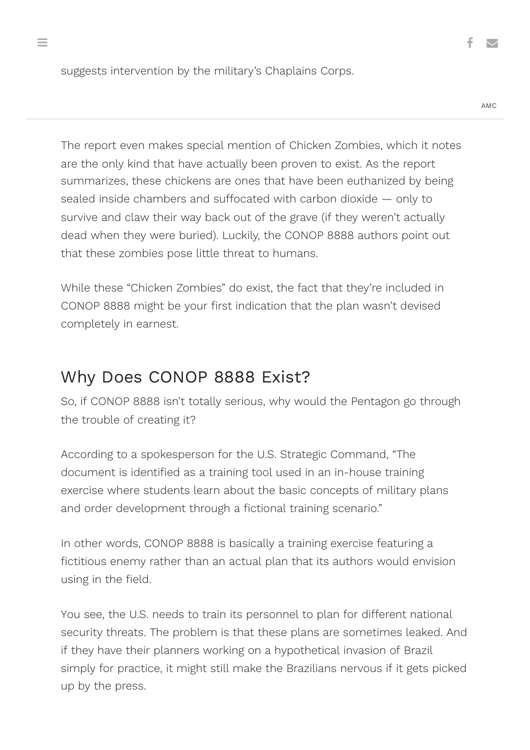suggests intervention by the military's Chaplains Corps.

AMC

The report even makes special mention of Chicken Zombies, which it notes are the only kind that have [actually been proven to](http://www.foxnews.com/story/2006/12/05/zombie-chickens-causing-debate-over-fate-older-chickens-in-california.html) exist. As the report summarizes, these chickens are ones that have been euthanized by being sealed inside chambers and suffocated with carbon dioxide — only to survive and claw their way back out of the grave (if they weren't actually dead when they were buried). Luckily, the CONOP 8888 authors point out that these zombies pose little threat to humans.

While these "Chicken Zombies" do exist, the fact that they're included in CONOP 8888 might be your first indication that the plan wasn't devised completely in earnest.

## Why Does CONOP 8888 Exist?

So, if CONOP 8888 isn't totally serious, why would the Pentagon go through the trouble of creating it?

According to a spokesperson for the U.S. Strategic Command, "The document is identified as a training tool used in an in-house training exercise where students learn about the basic concepts of military plans and order development through a fictional training scenario."

In other words, CONOP 8888 is basically a training exercise featuring a fictitious enemy rather than an actual plan that its authors would envision using in the field.

You see, the U.S. needs to train its personnel to plan for different national security threats. The problem is that these plans are sometimes leaked. And if they have their planners working on a hypothetical invasion of Brazil simply for practice, it might still make the Brazilians nervous if it gets picked up by the press.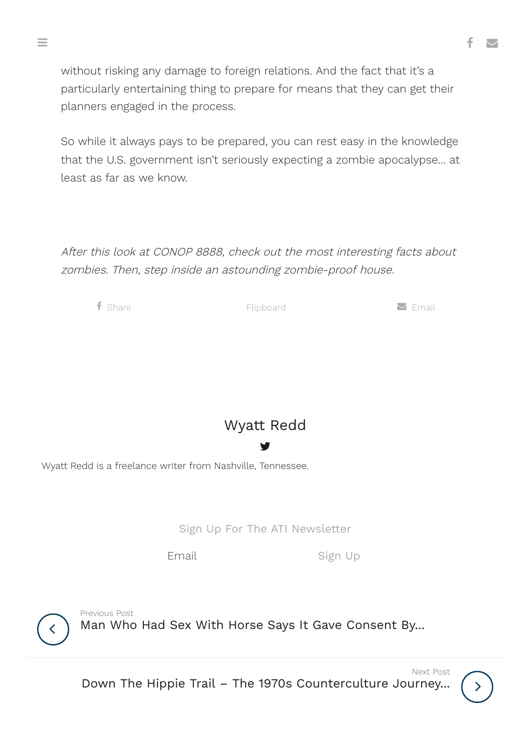without risking any damage to foreign relations. And the fact that it's a particularly entertaining thing to prepare for means that they can get their planners engaged in the process.

So while it always pays to be prepared, you can rest easy in the knowledge that the U.S. government isn't seriously expecting a zombie apocalypse… at least as far as we know.

After this look at CONOP 8888, check out the most interesting facts about zombies. Then, step inside [an astounding](https://allthatsinteresting.com/zombie-facts) [zombie-proof](https://allthatsinteresting.com/zombie-proof-house) house.

 $\mathsf f$  [Share](https://www.facebook.com/sharer/sharer.php?u=https://allthatsinteresting.com/conop-8888)  $\mathsf s$  [Email](https://allthatsinteresting.com/conop-8888/email/) Elipboard  $\mathsf s$  Email

[Wyatt](https://allthatsinteresting.com/author/wyatt-redd) Redd

Y.

Wyatt Redd is a freelance writer from Nashville, Tennessee.

Sign Up For The ATI Newsletter

Email Sign Up

 $\langle$ 

Man Who Had Sex With Horse Says It Gave [Consent](https://allthatsinteresting.com/man-sexual-consent-horse) By... Previous Post

Down The Hippie Trail – The 1970s [Counterculture](https://allthatsinteresting.com/hippie-trail) Journey...



Next Post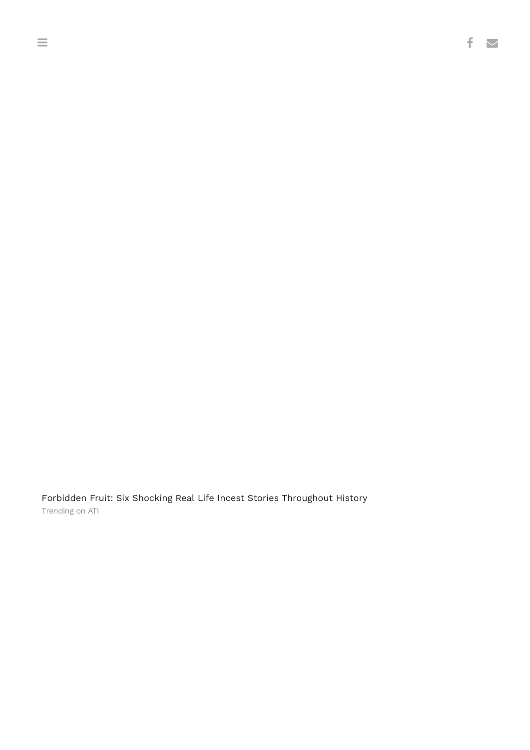Forbidden Fruit: Six Shocking Real Life Incest Stories [Throughout](https://allthatsinteresting.com/famous-incest) History Trending on ATI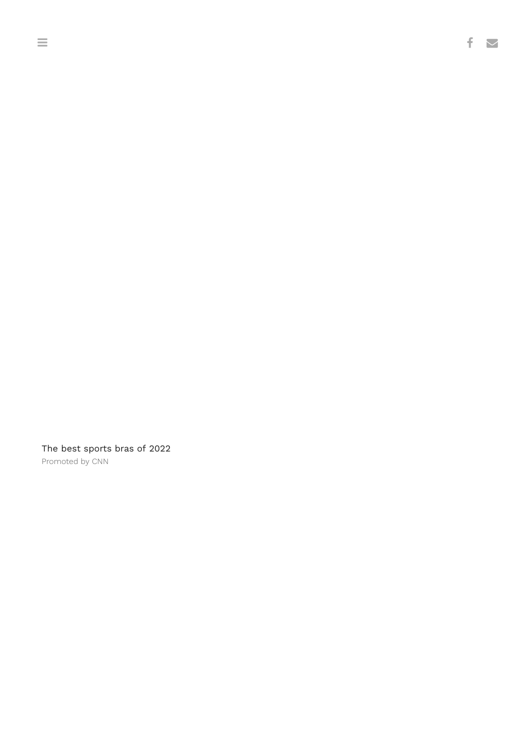The best sports bras of 2022 [Promoted](http://traffic.pubexchange.com/c/15b878e1-1b2f-4cf3-8135-6d1c87f44f7a/d92ecaea-3fb8-468b-832f-6a251aa0c77c/a7653d9e-41bd-434a-a4fb-770230a05e09/f?u=cnn.com) by CNN